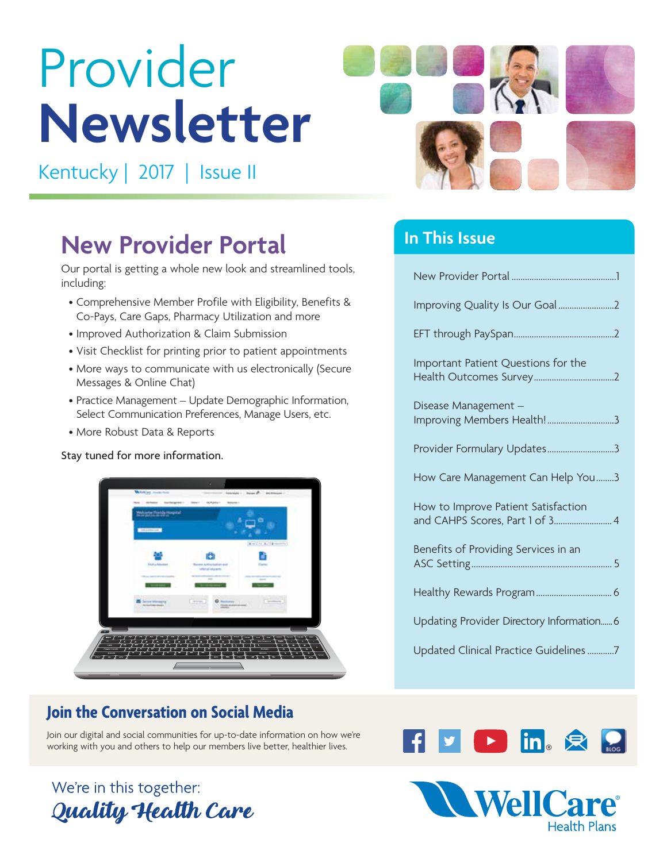# Provider **Newsletter**

Kentucky | 2017 | Issue II



# **New Provider Portal**

Our portal is getting a whole new look and streamlined tools, including:

- Comprehensive Member Profile with Eligibility, Benefits & Co-Pays, Care Gaps, Pharmacy Utilization and more
- Improved Authorization & Claim Submission
- Visit Checklist for printing prior to patient appointments
- More ways to communicate with us electronically (Secure Messages & Online Chat)
- Practice Management Update Demographic Information, Select Communication Preferences, Manage Users, etc.
- More Robust Data & Reports

### Stay tuned for more information.



# **Join the Conversation on Social Media**

Join our digital and social communities for up-to-date information on how we're working with you and others to help our members live better, healthier lives.

# We're in this together: Quality Health Care

# **In This Issue**

| Important Patient Questions for the                                    |
|------------------------------------------------------------------------|
| Disease Management -<br>Improving Members Health!3                     |
| Provider Formulary Updates3                                            |
| How Care Management Can Help You3                                      |
| How to Improve Patient Satisfaction<br>and CAHPS Scores, Part 1 of 3 4 |
| Benefits of Providing Services in an                                   |
|                                                                        |
| Updating Provider Directory Information 6                              |
|                                                                        |



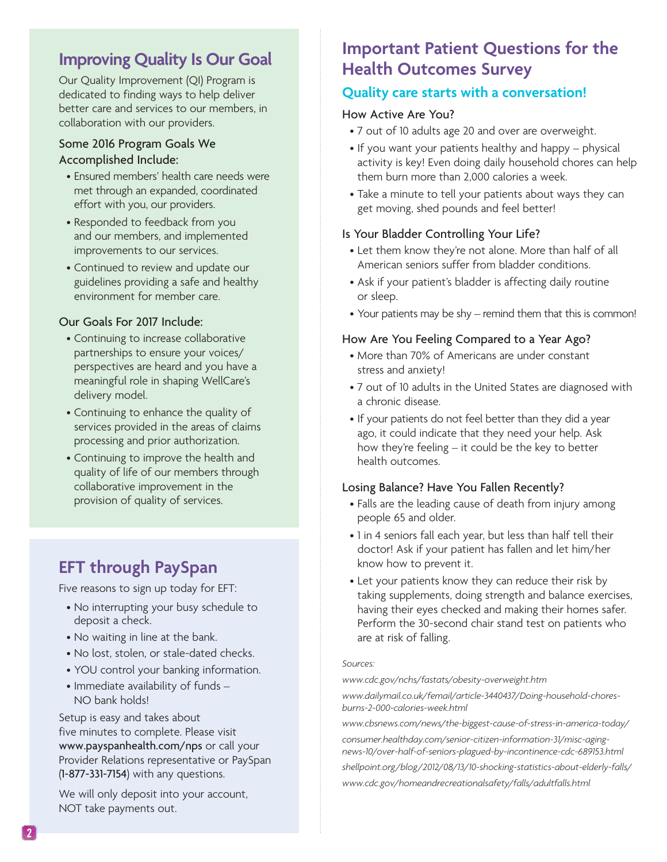# **Improving Quality Is Our Goal**

Our Quality Improvement (QI) Program is dedicated to finding ways to help deliver better care and services to our members, in collaboration with our providers.

## Some 2016 Program Goals We Accomplished Include:

- Ensured members' health care needs were met through an expanded, coordinated effort with you, our providers.
- Responded to feedback from you and our members, and implemented improvements to our services.
- Continued to review and update our guidelines providing a safe and healthy environment for member care.

## Our Goals For 2017 Include:

- Continuing to increase collaborative partnerships to ensure your voices/ perspectives are heard and you have a meaningful role in shaping WellCare's delivery model.
- Continuing to enhance the quality of services provided in the areas of claims processing and prior authorization.
- Continuing to improve the health and quality of life of our members through collaborative improvement in the provision of quality of services.

# **EFT through PaySpan**

Five reasons to sign up today for EFT:

- No interrupting your busy schedule to deposit a check.
- No waiting in line at the bank.
- No lost, stolen, or stale-dated checks.
- YOU control your banking information.
- Immediate availability of funds NO bank holds!

Setup is easy and takes about five minutes to complete. Please visit www.payspanhealth.com/nps or call your Provider Relations representative or PaySpan (1-877-331-7154) with any questions.

We will only deposit into your account, NOT take payments out.

# **Important Patient Questions for the Health Outcomes Survey**

## **Quality care starts with a conversation!**

## How Active Are You?

- 7 out of 10 adults age 20 and over are overweight.
- If you want your patients healthy and happy physical activity is key! Even doing daily household chores can help them burn more than 2,000 calories a week.
- Take a minute to tell your patients about ways they can get moving, shed pounds and feel better!

## Is Your Bladder Controlling Your Life?

- Let them know they're not alone. More than half of all American seniors suffer from bladder conditions.
- Ask if your patient's bladder is affecting daily routine or sleep.
- Your patients may be shy remind them that this is common!

## How Are You Feeling Compared to a Year Ago?

- More than 70% of Americans are under constant stress and anxiety!
- 7 out of 10 adults in the United States are diagnosed with a chronic disease.
- If your patients do not feel better than they did a year ago, it could indicate that they need your help. Ask how they're feeling – it could be the key to better health outcomes.

## Losing Balance? Have You Fallen Recently?

- Falls are the leading cause of death from injury among people 65 and older.
- 1 in 4 seniors fall each year, but less than half tell their doctor! Ask if your patient has fallen and let him/her know how to prevent it.
- Let your patients know they can reduce their risk by taking supplements, doing strength and balance exercises, having their eyes checked and making their homes safer. Perform the 30-second chair stand test on patients who are at risk of falling.

#### *Sources:*

*www.cdc.gov/nchs/fastats/obesity-overweight.htm*

*www.dailymail.co.uk/femail/article-3440437/Doing-household-choresburns-2-000-calories-week.html*

*www.cbsnews.com/news/the-biggest-cause-of-stress-in-america-today/*

*consumer.healthday.com/senior-citizen-information-31/misc-agingnews-10/over-half-of-seniors-plagued-by-incontinence-cdc-689153.html*

*shellpoint.org/blog/2012/08/13/10-shocking-statistics-about-elderly-falls/ www.cdc.gov/homeandrecreationalsafety/falls/adultfalls.html*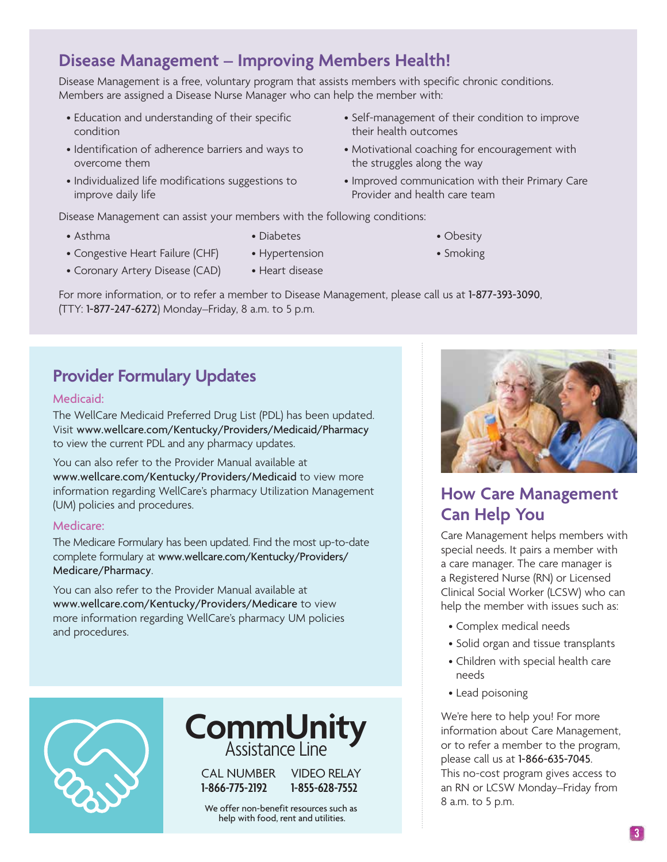## **3**

# **Disease Management – Improving Members Health!**

Disease Management is a free, voluntary program that assists members with specific chronic conditions. Members are assigned a Disease Nurse Manager who can help the member with:

- Education and understanding of their specific condition
- Identification of adherence barriers and ways to overcome them
- Individualized life modifications suggestions to improve daily life
- Self-management of their condition to improve their health outcomes
- Motivational coaching for encouragement with the struggles along the way
- Improved communication with their Primary Care Provider and health care team

• Obesity • Smoking

Disease Management can assist your members with the following conditions:

• Asthma

- Diabetes
- Congestive Heart Failure (CHF)
- Coronary Artery Disease (CAD) • Heart disease
- Hypertension

For more information, or to refer a member to Disease Management, please call us at 1-877-393-3090, (TTY: 1-877-247-6272) Monday–Friday, 8 a.m. to 5 p.m.

# **Provider Formulary Updates**

## Medicaid:

The WellCare Medicaid Preferred Drug List (PDL) has been updated. Visit www.wellcare.com/Kentucky/Providers/Medicaid/Pharmacy to view the current PDL and any pharmacy updates.

You can also refer to the Provider Manual available at www.wellcare.com/Kentucky/Providers/Medicaid to view more information regarding WellCare's pharmacy Utilization Management (UM) policies and procedures.

## Medicare:

The Medicare Formulary has been updated. Find the most up-to-date complete formulary at www.wellcare.com/Kentucky/Providers/ Medicare/Pharmacy.

You can also refer to the Provider Manual available at www.wellcare.com/Kentucky/Providers/Medicare to view more information regarding WellCare's pharmacy UM policies and procedures.





We offer non-benefit resources such as help with food, rent and utilities.



# **How Care Management Can Help You**

Care Management helps members with special needs. It pairs a member with a care manager. The care manager is a Registered Nurse (RN) or Licensed Clinical Social Worker (LCSW) who can help the member with issues such as:

- Complex medical needs
- Solid organ and tissue transplants
- Children with special health care needs
- Lead poisoning

We're here to help you! For more information about Care Management, or to refer a member to the program, please call us at 1-866-635-7045. This no-cost program gives access to an RN or LCSW Monday–Friday from 8 a.m. to 5 p.m.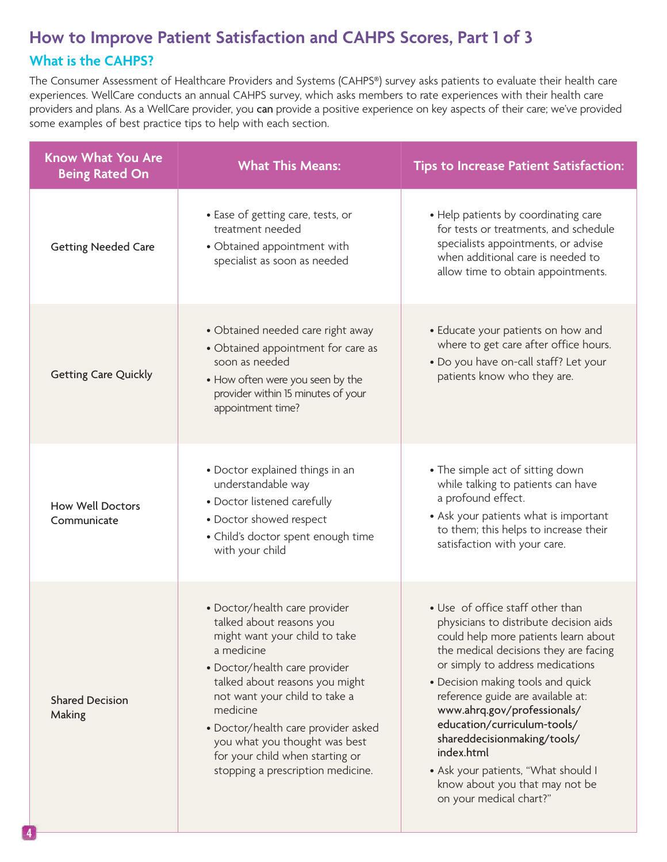# **How to Improve Patient Satisfaction and CAHPS Scores, Part 1 of 3 What is the CAHPS?**

The Consumer Assessment of Healthcare Providers and Systems (CAHPS®) survey asks patients to evaluate their health care experiences. WellCare conducts an annual CAHPS survey, which asks members to rate experiences with their health care providers and plans. As a WellCare provider, you can provide a positive experience on key aspects of their care; we've provided some examples of best practice tips to help with each section.

| <b>Know What You Are</b><br><b>Being Rated On</b> | <b>What This Means:</b>                                                                                                                                                                                                                                                                                                                                                  | <b>Tips to Increase Patient Satisfaction:</b>                                                                                                                                                                                                                                                                                                                                                                                                                                            |
|---------------------------------------------------|--------------------------------------------------------------------------------------------------------------------------------------------------------------------------------------------------------------------------------------------------------------------------------------------------------------------------------------------------------------------------|------------------------------------------------------------------------------------------------------------------------------------------------------------------------------------------------------------------------------------------------------------------------------------------------------------------------------------------------------------------------------------------------------------------------------------------------------------------------------------------|
| <b>Getting Needed Care</b>                        | • Ease of getting care, tests, or<br>treatment needed<br>• Obtained appointment with<br>specialist as soon as needed                                                                                                                                                                                                                                                     | • Help patients by coordinating care<br>for tests or treatments, and schedule<br>specialists appointments, or advise<br>when additional care is needed to<br>allow time to obtain appointments.                                                                                                                                                                                                                                                                                          |
| <b>Getting Care Quickly</b>                       | • Obtained needed care right away<br>• Obtained appointment for care as<br>soon as needed<br>• How often were you seen by the<br>provider within 15 minutes of your<br>appointment time?                                                                                                                                                                                 | • Educate your patients on how and<br>where to get care after office hours.<br>. Do you have on-call staff? Let your<br>patients know who they are.                                                                                                                                                                                                                                                                                                                                      |
| <b>How Well Doctors</b><br>Communicate            | • Doctor explained things in an<br>understandable way<br>• Doctor listened carefully<br>• Doctor showed respect<br>• Child's doctor spent enough time<br>with your child                                                                                                                                                                                                 | • The simple act of sitting down<br>while talking to patients can have<br>a profound effect.<br>• Ask your patients what is important<br>to them; this helps to increase their<br>satisfaction with your care.                                                                                                                                                                                                                                                                           |
| <b>Shared Decision</b><br>Making                  | • Doctor/health care provider<br>talked about reasons you<br>might want your child to take<br>a medicine<br>· Doctor/health care provider<br>talked about reasons you might<br>not want your child to take a<br>medicine<br>• Doctor/health care provider asked<br>you what you thought was best<br>for your child when starting or<br>stopping a prescription medicine. | • Use of office staff other than<br>physicians to distribute decision aids<br>could help more patients learn about<br>the medical decisions they are facing<br>or simply to address medications<br>• Decision making tools and quick<br>reference guide are available at:<br>www.ahrq.gov/professionals/<br>education/curriculum-tools/<br>shareddecisionmaking/tools/<br>index.html<br>• Ask your patients, "What should I<br>know about you that may not be<br>on your medical chart?" |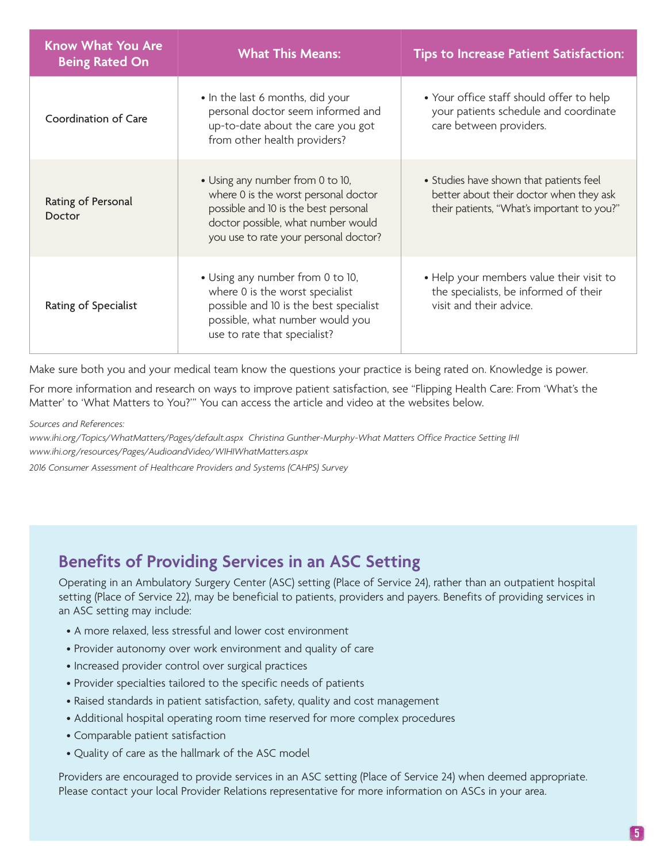| <b>Know What You Are</b><br><b>Being Rated On</b> | <b>What This Means:</b>                                                                                                                                                                         | <b>Tips to Increase Patient Satisfaction:</b>                                                                                    |
|---------------------------------------------------|-------------------------------------------------------------------------------------------------------------------------------------------------------------------------------------------------|----------------------------------------------------------------------------------------------------------------------------------|
| Coordination of Care                              | • In the last 6 months, did your<br>personal doctor seem informed and<br>up-to-date about the care you got<br>from other health providers?                                                      | • Your office staff should offer to help<br>your patients schedule and coordinate<br>care between providers.                     |
| Rating of Personal<br>Doctor                      | • Using any number from 0 to 10,<br>where 0 is the worst personal doctor<br>possible and 10 is the best personal<br>doctor possible, what number would<br>you use to rate your personal doctor? | • Studies have shown that patients feel<br>better about their doctor when they ask<br>their patients, "What's important to you?" |
| Rating of Specialist                              | • Using any number from 0 to 10,<br>where 0 is the worst specialist<br>possible and 10 is the best specialist<br>possible, what number would you<br>use to rate that specialist?                | • Help your members value their visit to<br>the specialists, be informed of their<br>visit and their advice.                     |

Make sure both you and your medical team know the questions your practice is being rated on. Knowledge is power.

For more information and research on ways to improve patient satisfaction, see "Flipping Health Care: From 'What's the Matter' to 'What Matters to You?'" You can access the article and video at the websites below.

*Sources and References:* 

*www.ihi.org/Topics/WhatMatters/Pages/default.aspx Christina Gunther-Murphy-What Matters Office Practice Setting IHI www.ihi.org/resources/Pages/AudioandVideo/WIHIWhatMatters.aspx*

*2016 Consumer Assessment of Healthcare Providers and Systems (CAHPS) Survey*

# **Benefits of Providing Services in an ASC Setting**

Operating in an Ambulatory Surgery Center (ASC) setting (Place of Service 24), rather than an outpatient hospital setting (Place of Service 22), may be beneficial to patients, providers and payers. Benefits of providing services in an ASC setting may include:

- A more relaxed, less stressful and lower cost environment
- Provider autonomy over work environment and quality of care
- Increased provider control over surgical practices
- Provider specialties tailored to the specific needs of patients
- Raised standards in patient satisfaction, safety, quality and cost management
- Additional hospital operating room time reserved for more complex procedures
- Comparable patient satisfaction
- Quality of care as the hallmark of the ASC model

Providers are encouraged to provide services in an ASC setting (Place of Service 24) when deemed appropriate. Please contact your local Provider Relations representative for more information on ASCs in your area.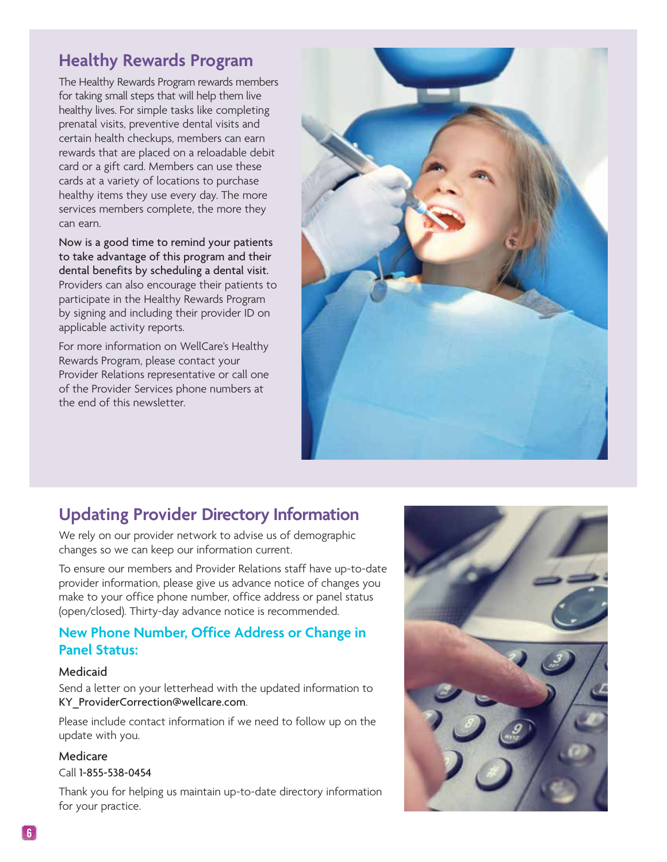# **Healthy Rewards Program**

The Healthy Rewards Program rewards members for taking small steps that will help them live healthy lives. For simple tasks like completing prenatal visits, preventive dental visits and certain health checkups, members can earn rewards that are placed on a reloadable debit card or a gift card. Members can use these cards at a variety of locations to purchase healthy items they use every day. The more services members complete, the more they can earn.

Now is a good time to remind your patients to take advantage of this program and their dental benefits by scheduling a dental visit. Providers can also encourage their patients to participate in the Healthy Rewards Program by signing and including their provider ID on applicable activity reports.

For more information on WellCare's Healthy Rewards Program, please contact your Provider Relations representative or call one of the Provider Services phone numbers at the end of this newsletter.



# **Updating Provider Directory Information**

We rely on our provider network to advise us of demographic changes so we can keep our information current.

To ensure our members and Provider Relations staff have up-to-date provider information, please give us advance notice of changes you make to your office phone number, office address or panel status (open/closed). Thirty-day advance notice is recommended.

## **New Phone Number, Office Address or Change in Panel Status:**

## Medicaid

Send a letter on your letterhead with the updated information to KY\_ProviderCorrection@wellcare.com.

Please include contact information if we need to follow up on the update with you.

## Medicare

#### Call 1-855-538-0454

Thank you for helping us maintain up-to-date directory information for your practice.

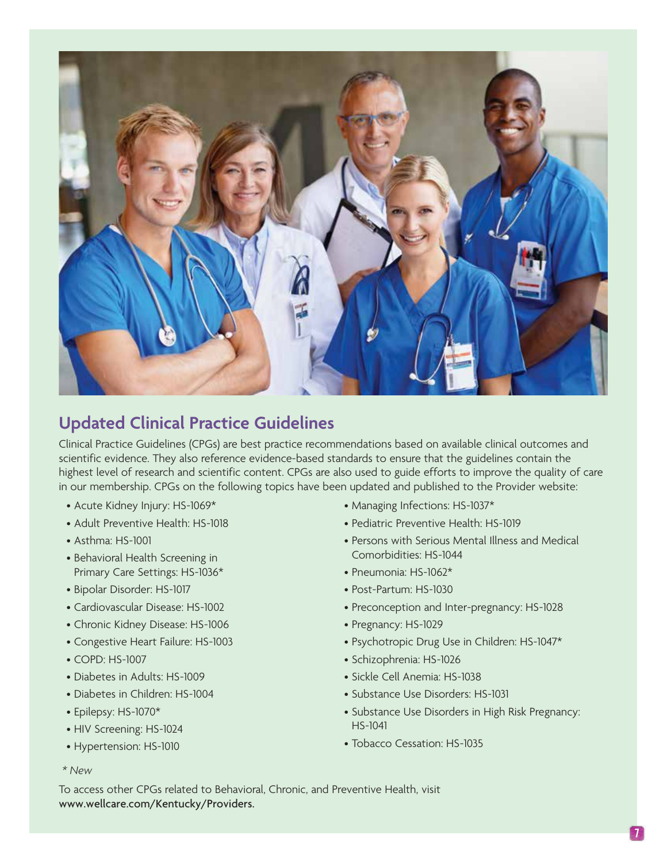

# **Updated Clinical Practice Guidelines**

Clinical Practice Guidelines (CPGs) are best practice recommendations based on available clinical outcomes and scientific evidence. They also reference evidence-based standards to ensure that the guidelines contain the highest level of research and scientific content. CPGs are also used to guide efforts to improve the quality of care in our membership. CPGs on the following topics have been updated and published to the Provider website:

- Acute Kidney Injury: HS-1069\*
- Adult Preventive Health: HS-1018
- Asthma: HS-1001
- Behavioral Health Screening in Primary Care Settings: HS-1036\*
- Bipolar Disorder: HS-1017
- Cardiovascular Disease: HS-1002
- Chronic Kidney Disease: HS-1006
- Congestive Heart Failure: HS-1003
- COPD: HS-1007
- Diabetes in Adults: HS-1009
- Diabetes in Children: HS-1004
- Epilepsy: HS-1070\*
- HIV Screening: HS-1024
- Hypertension: HS-1010
- Managing Infections: HS-1037\*
- Pediatric Preventive Health: HS-1019
- Persons with Serious Mental Illness and Medical Comorbidities: HS-1044
- Pneumonia: HS-1062\*
- Post-Partum: HS-1030
- Preconception and Inter-pregnancy: HS-1028
- Pregnancy: HS-1029
- Psychotropic Drug Use in Children: HS-1047\*
- Schizophrenia: HS-1026
- Sickle Cell Anemia: HS-1038
- Substance Use Disorders: HS-1031
- Substance Use Disorders in High Risk Pregnancy: HS-1041
- Tobacco Cessation: HS-1035

 *\* New*

To access other CPGs related to Behavioral, Chronic, and Preventive Health, visit www.wellcare.com/Kentucky/Providers.